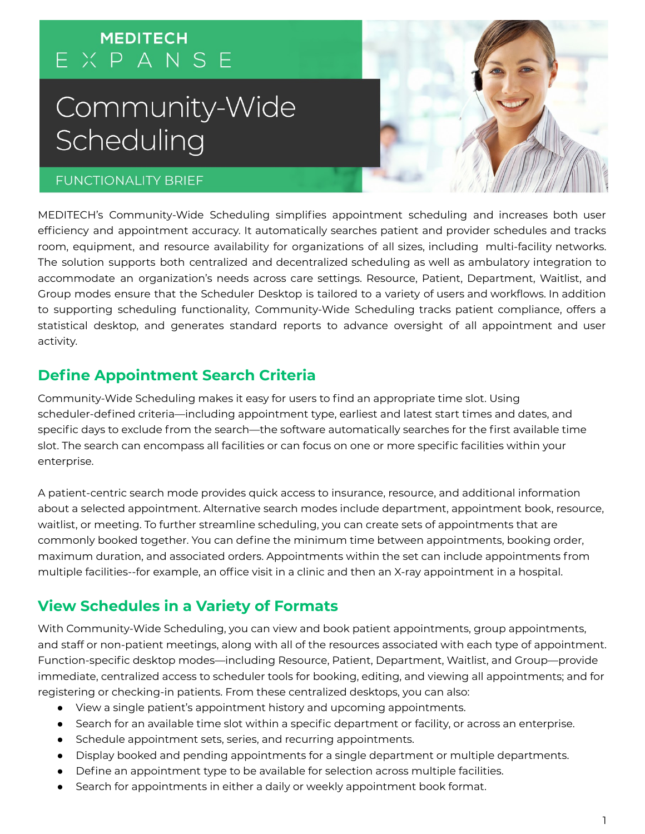# **MEDITECH** EXPANSE

# Community-Wide Scheduling

5/31/2019 Community-Wide Scheduling - Google Docs

#### **FUNCTIONALITY BRIEF**



# **Define Appointment Search Criteria**

Community-Wide Scheduling makes it easy for users to find an appropriate time slot. Using scheduler-defined criteria—including appointment type, earliest and latest start times and dates, and specific days to exclude from the search—the software automatically searches for the first available time slot. The search can encompass all facilities or can focus on one or more specific facilities within your enterprise.

A patient-centric search mode provides quick access to insurance, resource, and additional information about a selected appointment. Alternative search modes include department, appointment book, resource, waitlist, or meeting. To further streamline scheduling, you can create sets of appointments that are commonly booked together. You can define the minimum time between appointments, booking order, maximum duration, and associated orders. Appointments within the set can include appointments from multiple facilities--for example, an office visit in a clinic and then an X-ray appointment in a hospital.

# **View Schedules in a Variety of Formats**

With Community-Wide Scheduling, you can view and book patient appointments, group appointments, and staff or non-patient meetings, along with all of the resources associated with each type of appointment. Function-specific desktop modes—including Resource, Patient, Department, Waitlist, and Group—provide immediate, centralized access to scheduler tools for booking, editing, and viewing all appointments; and for registering or checking-in patients. From these centralized desktops, you can also:

- View a single patient's appointment history and upcoming appointments.
- Search for an available time slot within a specific department or facility, or across an enterprise.
- Schedule appointment sets, series, and recurring appointments.
- Display booked and pending appointments for a single department or multiple departments.
- Define an appointment type to be available for selection across multiple facilities.
- Search for appointments in either a daily or weekly appointment book format.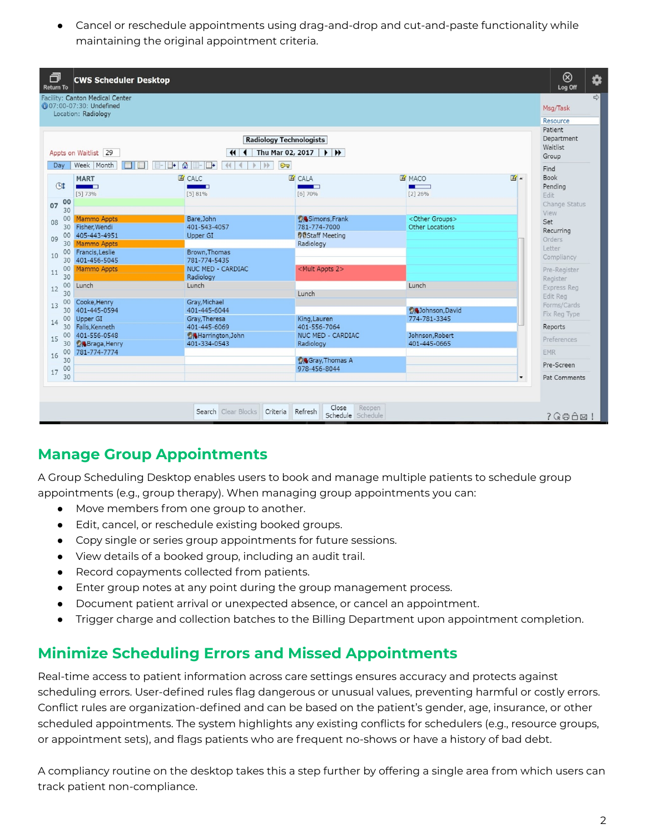• Cancel or reschedule appointments using drag-and-drop and cut-and-paste functionality while maintaining the original appointment criteria.

| Location: Radiology<br>Resource<br>Patient<br>Department<br><b>Radiology Technologists</b><br>Waitlist<br>Thu Mar 02, 2017<br>Appts on Waitlist 29<br>$\left  \right $<br>$\rightarrow$ $\rightarrow$<br>Group<br>$\bullet$<br>$C =$<br>Week Month<br>44<br>Dav<br>$\Box$ +<br>$    -    +$<br> b <br>$\blacksquare$<br>Find<br><b>Book</b><br>$\mathbb{Z}$ .<br><b>ES</b> CALC<br><b>E</b> CALA<br><b>E MACO</b><br><b>MART</b><br>(4)<br>Pending<br><b>Contract Contract Contract</b><br><b>STATE</b><br><b>The Common</b><br>- -<br>[5]73%<br>[5] 81%<br>$[2]$ 26%<br>[6]70%<br>Edit<br>00<br>07<br>30<br>View<br>Bare.John<br><b>OASimons, Frank</b><br><other groups=""><br/>00<br/><b>Mammo Appts</b><br/>Set<br/>08<br/>Fisher, Wendi<br/>401-543-4057<br/>781-774-7000<br/>Other Locations<br/>30<br/>Recurring<br/><b>BaStaff Meeting</b><br/>405-443-4951<br/>00<br/>Upper GI<br/>09<br/>Orders<br/><b>Mammo Appts</b><br/>Radiology<br/>30<br/>Letter<br/>Brown, Thomas<br/>00<br/>Francis, Leslie<br/>10<br/>Compliancy<br/>401-456-5045<br/>781-774-5435<br/>30<br/>NUC MED - CARDIAC<br/><mult 2="" appts=""><br/>00<br/><b>Mammo Appts</b><br/>11<br/>30<br/>Radiology<br/>Register<br/>00<br/>Lunch<br/>Lunch<br/>Lunch<br/>12<br/>30<br/>Lunch<br/>Edit Reg<br/>00<br/>Cooke, Henry<br/>Gray, Michael<br/>13<br/>401-445-0594<br/>401-445-6044<br/><b>Ok Johnson, David</b><br/>30<br/>Fix Reg Type<br/>00<br/>774-781-3345<br/>Upper GI<br/>Gray, Theresa<br/>King, Lauren<br/>14<br/>Falls, Kenneth<br/>401-445-6069<br/>30<br/>401-556-7064<br/>Reports<br/>401-556-0548<br/>NUC MED - CARDIAC<br/>00<br/>Johnson, Robert<br/><b>公</b>Harrington, John<br/>15<br/>Preferences<br/><b>O</b>Braga, Henry<br/>401-334-0543<br/>Radiology<br/>401-445-0665<br/>30<br/>00<br/>781-774-7774<br/><b>EMR</b><br/>16<br/>30<br/><b>Gray, Thomas A</b><br/>Pre-Screen</mult></other> |    | Facility: Canton Medical Center<br><b>607:00-07:30: Undefined</b> |  |              |  |  |                    |
|------------------------------------------------------------------------------------------------------------------------------------------------------------------------------------------------------------------------------------------------------------------------------------------------------------------------------------------------------------------------------------------------------------------------------------------------------------------------------------------------------------------------------------------------------------------------------------------------------------------------------------------------------------------------------------------------------------------------------------------------------------------------------------------------------------------------------------------------------------------------------------------------------------------------------------------------------------------------------------------------------------------------------------------------------------------------------------------------------------------------------------------------------------------------------------------------------------------------------------------------------------------------------------------------------------------------------------------------------------------------------------------------------------------------------------------------------------------------------------------------------------------------------------------------------------------------------------------------------------------------------------------------------------------------------------------------------------------------------------------------------------------------------------------------------------------------------------------------------------------------------------------------|----|-------------------------------------------------------------------|--|--------------|--|--|--------------------|
|                                                                                                                                                                                                                                                                                                                                                                                                                                                                                                                                                                                                                                                                                                                                                                                                                                                                                                                                                                                                                                                                                                                                                                                                                                                                                                                                                                                                                                                                                                                                                                                                                                                                                                                                                                                                                                                                                                |    |                                                                   |  |              |  |  |                    |
|                                                                                                                                                                                                                                                                                                                                                                                                                                                                                                                                                                                                                                                                                                                                                                                                                                                                                                                                                                                                                                                                                                                                                                                                                                                                                                                                                                                                                                                                                                                                                                                                                                                                                                                                                                                                                                                                                                |    |                                                                   |  |              |  |  |                    |
|                                                                                                                                                                                                                                                                                                                                                                                                                                                                                                                                                                                                                                                                                                                                                                                                                                                                                                                                                                                                                                                                                                                                                                                                                                                                                                                                                                                                                                                                                                                                                                                                                                                                                                                                                                                                                                                                                                |    |                                                                   |  |              |  |  |                    |
|                                                                                                                                                                                                                                                                                                                                                                                                                                                                                                                                                                                                                                                                                                                                                                                                                                                                                                                                                                                                                                                                                                                                                                                                                                                                                                                                                                                                                                                                                                                                                                                                                                                                                                                                                                                                                                                                                                |    |                                                                   |  |              |  |  |                    |
|                                                                                                                                                                                                                                                                                                                                                                                                                                                                                                                                                                                                                                                                                                                                                                                                                                                                                                                                                                                                                                                                                                                                                                                                                                                                                                                                                                                                                                                                                                                                                                                                                                                                                                                                                                                                                                                                                                |    |                                                                   |  |              |  |  | Change Status      |
|                                                                                                                                                                                                                                                                                                                                                                                                                                                                                                                                                                                                                                                                                                                                                                                                                                                                                                                                                                                                                                                                                                                                                                                                                                                                                                                                                                                                                                                                                                                                                                                                                                                                                                                                                                                                                                                                                                |    |                                                                   |  |              |  |  |                    |
|                                                                                                                                                                                                                                                                                                                                                                                                                                                                                                                                                                                                                                                                                                                                                                                                                                                                                                                                                                                                                                                                                                                                                                                                                                                                                                                                                                                                                                                                                                                                                                                                                                                                                                                                                                                                                                                                                                |    |                                                                   |  |              |  |  |                    |
|                                                                                                                                                                                                                                                                                                                                                                                                                                                                                                                                                                                                                                                                                                                                                                                                                                                                                                                                                                                                                                                                                                                                                                                                                                                                                                                                                                                                                                                                                                                                                                                                                                                                                                                                                                                                                                                                                                |    |                                                                   |  |              |  |  |                    |
|                                                                                                                                                                                                                                                                                                                                                                                                                                                                                                                                                                                                                                                                                                                                                                                                                                                                                                                                                                                                                                                                                                                                                                                                                                                                                                                                                                                                                                                                                                                                                                                                                                                                                                                                                                                                                                                                                                |    |                                                                   |  |              |  |  | Pre-Register       |
|                                                                                                                                                                                                                                                                                                                                                                                                                                                                                                                                                                                                                                                                                                                                                                                                                                                                                                                                                                                                                                                                                                                                                                                                                                                                                                                                                                                                                                                                                                                                                                                                                                                                                                                                                                                                                                                                                                |    |                                                                   |  |              |  |  | <b>Express Reg</b> |
|                                                                                                                                                                                                                                                                                                                                                                                                                                                                                                                                                                                                                                                                                                                                                                                                                                                                                                                                                                                                                                                                                                                                                                                                                                                                                                                                                                                                                                                                                                                                                                                                                                                                                                                                                                                                                                                                                                |    |                                                                   |  |              |  |  | Forms/Cards        |
|                                                                                                                                                                                                                                                                                                                                                                                                                                                                                                                                                                                                                                                                                                                                                                                                                                                                                                                                                                                                                                                                                                                                                                                                                                                                                                                                                                                                                                                                                                                                                                                                                                                                                                                                                                                                                                                                                                |    |                                                                   |  |              |  |  |                    |
|                                                                                                                                                                                                                                                                                                                                                                                                                                                                                                                                                                                                                                                                                                                                                                                                                                                                                                                                                                                                                                                                                                                                                                                                                                                                                                                                                                                                                                                                                                                                                                                                                                                                                                                                                                                                                                                                                                |    |                                                                   |  |              |  |  |                    |
|                                                                                                                                                                                                                                                                                                                                                                                                                                                                                                                                                                                                                                                                                                                                                                                                                                                                                                                                                                                                                                                                                                                                                                                                                                                                                                                                                                                                                                                                                                                                                                                                                                                                                                                                                                                                                                                                                                |    |                                                                   |  |              |  |  |                    |
| 30<br>▼                                                                                                                                                                                                                                                                                                                                                                                                                                                                                                                                                                                                                                                                                                                                                                                                                                                                                                                                                                                                                                                                                                                                                                                                                                                                                                                                                                                                                                                                                                                                                                                                                                                                                                                                                                                                                                                                                        | 00 |                                                                   |  | 978-456-8044 |  |  | Pat Comments       |

# **Manage Group Appointments**

A Group Scheduling Desktop enables users to book and manage multiple patients to schedule group appointments (e.g., group therapy). When managing group appointments you can:

- Move members from one group to another.
- Edit, cancel, or reschedule existing booked groups.
- Copy single or series group appointments for future sessions.
- View details of a booked group, including an audit trail.
- Record copayments collected from patients.
- Enter group notes at any point during the group management process.
- Document patient arrival or unexpected absence, or cancel an appointment.
- Trigger charge and collection batches to the Billing Department upon appointment completion.

#### **Minimize Scheduling Errors and Missed Appointments**

Real-time access to patient information across care settings ensures accuracy and protects against scheduling errors. User-defined rules flag dangerous or unusual values, preventing harmful or costly errors. Conflict rules are organization-defined and can be based on the patient's gender, age, insurance, or other scheduled appointments. The system highlights any existing conflicts for schedulers (e.g., resource groups, or appointment sets), and flags patients who are frequent no-shows or have a history of bad debt.

A compliancy routine on the desktop takes this a step further by offering a single area from which users can track patient non-compliance.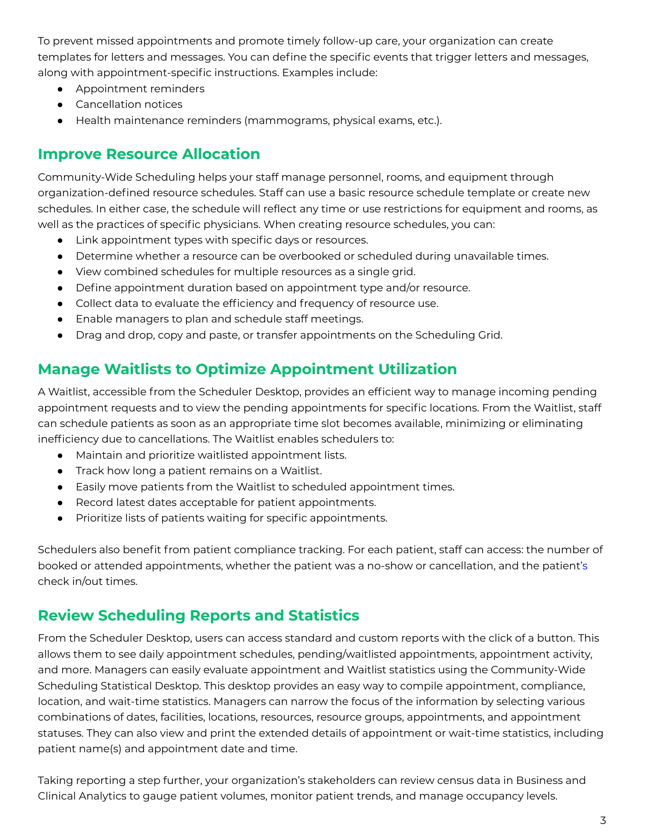To prevent missed appointments and promote timely follow-up care, your organization can create templates for letters and messages. You can define the specific events that trigger letters and messages, along with appointment-specific instructions. Examples include:

- Appointment reminders
- Cancellation notices
- Health maintenance reminders (mammograms, physical exams, etc.).

#### **Improve Resource Allocation**

Community-Wide Scheduling helps your staff manage personnel, rooms, and equipment through organization-defined resource schedules. Staff can use a basic resource schedule template or create new schedules. In either case, the schedule will reflect any time or use restrictions for equipment and rooms, as well as the practices of specific physicians. When creating resource schedules, you can:

- Link appointment types with specific days or resources.
- Determine whether a resource can be overbooked or scheduled during unavailable times.
- View combined schedules for multiple resources as a single grid.
- Define appointment duration based on appointment type and/or resource.
- Collect data to evaluate the efficiency and frequency of resource use.
- Enable managers to plan and schedule staff meetings.
- Drag and drop, copy and paste, or transfer appointments on the Scheduling Grid.

# **Manage Waitlists to Optimize Appointment Utilization**

A Waitlist, accessible from the Scheduler Desktop, provides an efficient way to manage incoming pending appointment requests and to view the pending appointments for specific locations. From the Waitlist, staff can schedule patients as soon as an appropriate time slot becomes available, minimizing or eliminating inefficiency due to cancellations. The Waitlist enables schedulers to:

- Maintain and prioritize waitlisted appointment lists.
- Track how long a patient remains on a Waitlist.
- Easily move patients from the Waitlist to scheduled appointment times.
- Record latest dates acceptable for patient appointments.
- Prioritize lists of patients waiting for specific appointments.

Schedulers also benefit from patient compliance tracking. For each patient, staff can access: the number of booked or attended appointments, whether the patient was a no-show or cancellation, and the patient's check in/out times.

# **Review Scheduling Reports and Statistics**

From the Scheduler Desktop, users can access standard and custom reports with the click of a button. This allows them to see daily appointment schedules, pending/waitlisted appointments, appointment activity, and more. Managers can easily evaluate appointment and Waitlist statistics using the Community-Wide Scheduling Statistical Desktop. This desktop provides an easy way to compile appointment, compliance, location, and wait-time statistics. Managers can narrow the focus of the information by selecting various combinations of dates, facilities, locations, resources, resource groups, appointments, and appointment statuses. They can also view and print the extended details of appointment or wait-time statistics, including patient name(s) and appointment date and time.

Taking reporting a step further, your organization's stakeholders can review census data in Business and Clinical Analytics to gauge patient volumes, monitor patient trends, and manage occupancy levels.